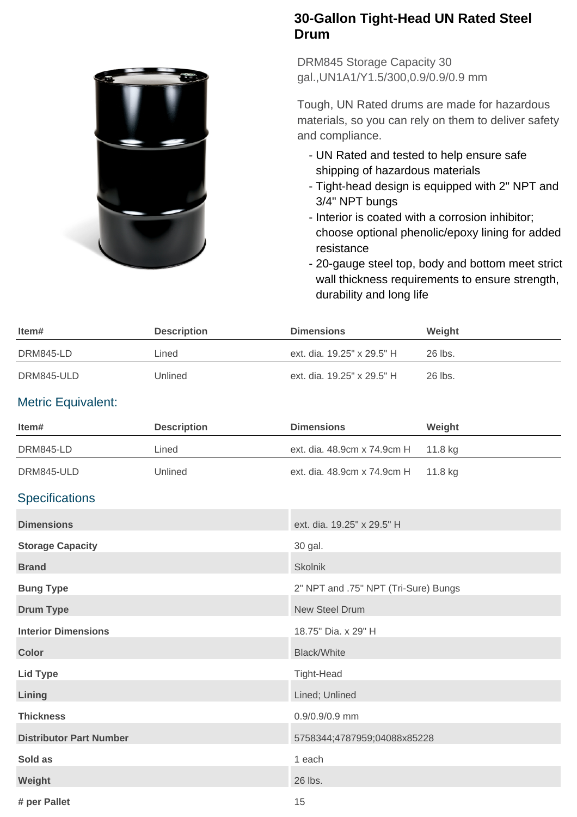

## **30-Gallon Tight-Head UN Rated Steel Drum**

DRM845 Storage Capacity 30 gal.,UN1A1/Y1.5/300,0.9/0.9/0.9 mm

Tough, UN Rated drums are made for hazardous materials, so you can rely on them to deliver safety and compliance.

- UN Rated and tested to help ensure safe shipping of hazardous materials
- Tight-head design is equipped with 2" NPT and 3/4" NPT bungs
- Interior is coated with a corrosion inhibitor; choose optional phenolic/epoxy lining for added resistance
- 20-gauge steel top, body and bottom meet strict wall thickness requirements to ensure strength, durability and long life

| ltem#      | <b>Description</b> | <b>Dimensions</b>          | Weight  |
|------------|--------------------|----------------------------|---------|
| DRM845-LD  | Lined              | ext. dia. 19.25" x 29.5" H | 26 lbs. |
| DRM845-ULD | Unlined            | ext. dia. 19.25" x 29.5" H | 26 lbs. |

## Metric Equivalent:

| Item#                          | <b>Description</b> | <b>Dimensions</b>                    | Weight  |
|--------------------------------|--------------------|--------------------------------------|---------|
| DRM845-LD                      | Lined              | ext. dia. 48.9cm x 74.9cm H          | 11.8 kg |
| DRM845-ULD                     | Unlined            | ext. dia. 48.9cm x 74.9cm H          | 11.8 kg |
| <b>Specifications</b>          |                    |                                      |         |
| <b>Dimensions</b>              |                    | ext. dia. 19.25" x 29.5" H           |         |
| <b>Storage Capacity</b>        |                    | 30 gal.                              |         |
| <b>Brand</b>                   |                    | <b>Skolnik</b>                       |         |
| <b>Bung Type</b>               |                    | 2" NPT and .75" NPT (Tri-Sure) Bungs |         |
| <b>Drum Type</b>               |                    | <b>New Steel Drum</b>                |         |
| <b>Interior Dimensions</b>     |                    | 18.75" Dia. x 29" H                  |         |
| <b>Color</b>                   |                    | <b>Black/White</b>                   |         |
| <b>Lid Type</b>                |                    | Tight-Head                           |         |
| Lining                         |                    | Lined; Unlined                       |         |
| <b>Thickness</b>               |                    | 0.9/0.9/0.9 mm                       |         |
| <b>Distributor Part Number</b> |                    | 5758344;4787959;04088x85228          |         |
| Sold as                        |                    | 1 each                               |         |
| Weight                         |                    | 26 lbs.                              |         |
| # per Pallet                   |                    | 15                                   |         |